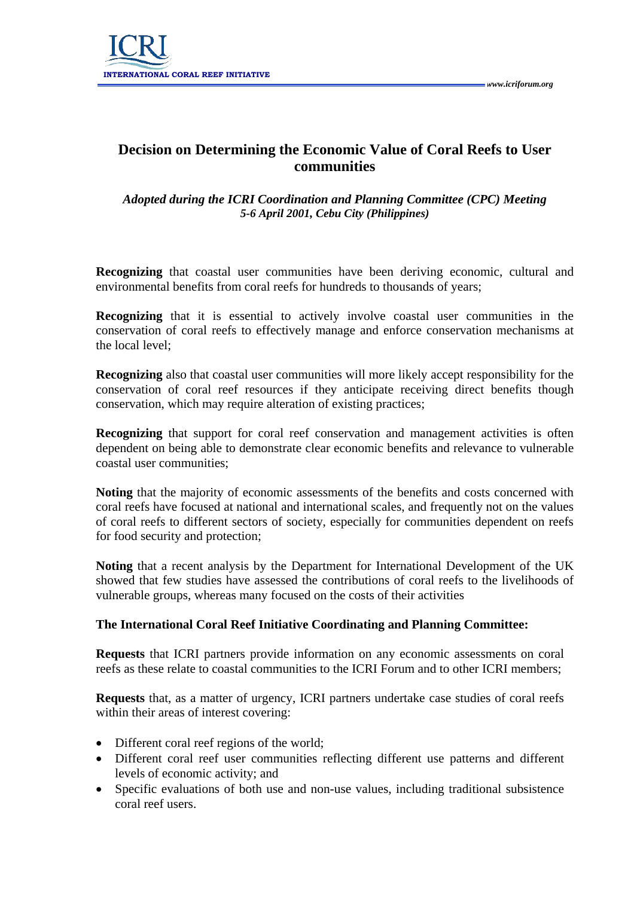

## **Decision on Determining the Economic Value of Coral Reefs to User communities**

## *Adopted during the ICRI Coordination and Planning Committee (CPC) Meeting 5-6 April 2001, Cebu City (Philippines)*

**Recognizing** that coastal user communities have been deriving economic, cultural and environmental benefits from coral reefs for hundreds to thousands of years;

**Recognizing** that it is essential to actively involve coastal user communities in the conservation of coral reefs to effectively manage and enforce conservation mechanisms at the local level;

**Recognizing** also that coastal user communities will more likely accept responsibility for the conservation of coral reef resources if they anticipate receiving direct benefits though conservation, which may require alteration of existing practices;

**Recognizing** that support for coral reef conservation and management activities is often dependent on being able to demonstrate clear economic benefits and relevance to vulnerable coastal user communities;

**Noting** that the majority of economic assessments of the benefits and costs concerned with coral reefs have focused at national and international scales, and frequently not on the values of coral reefs to different sectors of society, especially for communities dependent on reefs for food security and protection;

**Noting** that a recent analysis by the Department for International Development of the UK showed that few studies have assessed the contributions of coral reefs to the livelihoods of vulnerable groups, whereas many focused on the costs of their activities

## **The International Coral Reef Initiative Coordinating and Planning Committee:**

**Requests** that ICRI partners provide information on any economic assessments on coral reefs as these relate to coastal communities to the ICRI Forum and to other ICRI members;

**Requests** that, as a matter of urgency, ICRI partners undertake case studies of coral reefs within their areas of interest covering:

- Different coral reef regions of the world;
- Different coral reef user communities reflecting different use patterns and different levels of economic activity; and
- Specific evaluations of both use and non-use values, including traditional subsistence coral reef users.